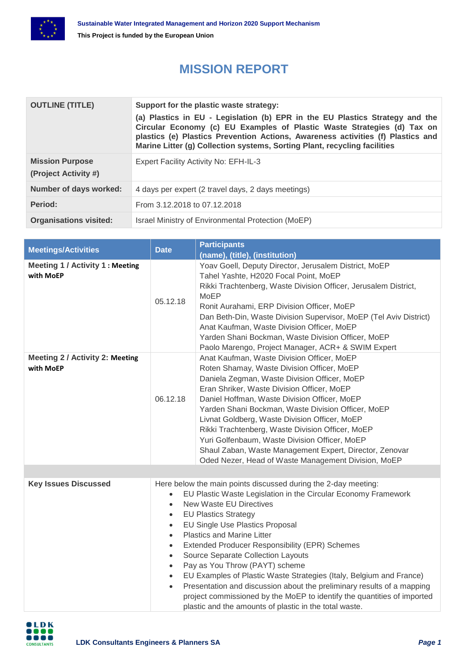

## **MISSION REPORT**

| <b>OUTLINE (TITLE)</b>                         | Support for the plastic waste strategy:<br>(a) Plastics in EU - Legislation (b) EPR in the EU Plastics Strategy and the<br>Circular Economy (c) EU Examples of Plastic Waste Strategies (d) Tax on<br>plastics (e) Plastics Prevention Actions, Awareness activities (f) Plastics and<br>Marine Litter (g) Collection systems, Sorting Plant, recycling facilities |
|------------------------------------------------|--------------------------------------------------------------------------------------------------------------------------------------------------------------------------------------------------------------------------------------------------------------------------------------------------------------------------------------------------------------------|
| <b>Mission Purpose</b><br>(Project Activity #) | Expert Facility Activity No: EFH-IL-3                                                                                                                                                                                                                                                                                                                              |
| Number of days worked:                         | 4 days per expert (2 travel days, 2 days meetings)                                                                                                                                                                                                                                                                                                                 |
| Period:                                        | From 3.12.2018 to 07.12.2018                                                                                                                                                                                                                                                                                                                                       |
| <b>Organisations visited:</b>                  | Israel Ministry of Environmental Protection (MoEP)                                                                                                                                                                                                                                                                                                                 |

| <b>Meetings/Activities</b>                          | <b>Date</b>                                                                                                                                                                                                                                                                                                                                                                                                                                                                                                                                                                                                                                                                                                                                                                                                                 | <b>Participants</b><br>(name), (title), (institution)                                                                                                                                                                                                                                                                                                                                                                                                                                                                                                                |
|-----------------------------------------------------|-----------------------------------------------------------------------------------------------------------------------------------------------------------------------------------------------------------------------------------------------------------------------------------------------------------------------------------------------------------------------------------------------------------------------------------------------------------------------------------------------------------------------------------------------------------------------------------------------------------------------------------------------------------------------------------------------------------------------------------------------------------------------------------------------------------------------------|----------------------------------------------------------------------------------------------------------------------------------------------------------------------------------------------------------------------------------------------------------------------------------------------------------------------------------------------------------------------------------------------------------------------------------------------------------------------------------------------------------------------------------------------------------------------|
| Meeting 1 / Activity 1 : Meeting<br>with MoEP       | 05.12.18                                                                                                                                                                                                                                                                                                                                                                                                                                                                                                                                                                                                                                                                                                                                                                                                                    | Yoav Goell, Deputy Director, Jerusalem District, MoEP<br>Tahel Yashte, H2020 Focal Point, MoEP<br>Rikki Trachtenberg, Waste Division Officer, Jerusalem District,<br><b>MoEP</b><br>Ronit Aurahami, ERP Division Officer, MoEP<br>Dan Beth-Din, Waste Division Supervisor, MoEP (Tel Aviv District)<br>Anat Kaufman, Waste Division Officer, MoEP<br>Yarden Shani Bockman, Waste Division Officer, MoEP<br>Paolo Marengo, Project Manager, ACR+ & SWIM Expert                                                                                                        |
| <b>Meeting 2 / Activity 2: Meeting</b><br>with MoEP | 06.12.18                                                                                                                                                                                                                                                                                                                                                                                                                                                                                                                                                                                                                                                                                                                                                                                                                    | Anat Kaufman, Waste Division Officer, MoEP<br>Roten Shamay, Waste Division Officer, MoEP<br>Daniela Zegman, Waste Division Officer, MoEP<br>Eran Shriker, Waste Division Officer, MoEP<br>Daniel Hoffman, Waste Division Officer, MoEP<br>Yarden Shani Bockman, Waste Division Officer, MoEP<br>Livnat Goldberg, Waste Division Officer, MoEP<br>Rikki Trachtenberg, Waste Division Officer, MoEP<br>Yuri Golfenbaum, Waste Division Officer, MoEP<br>Shaul Zaban, Waste Management Expert, Director, Zenovar<br>Oded Nezer, Head of Waste Management Division, MoEP |
|                                                     |                                                                                                                                                                                                                                                                                                                                                                                                                                                                                                                                                                                                                                                                                                                                                                                                                             |                                                                                                                                                                                                                                                                                                                                                                                                                                                                                                                                                                      |
| <b>Key Issues Discussed</b>                         | Here below the main points discussed during the 2-day meeting:<br>EU Plastic Waste Legislation in the Circular Economy Framework<br>$\bullet$<br><b>New Waste EU Directives</b><br>$\bullet$<br><b>EU Plastics Strategy</b><br>$\bullet$<br>EU Single Use Plastics Proposal<br>$\bullet$<br><b>Plastics and Marine Litter</b><br>$\bullet$<br>Extended Producer Responsibility (EPR) Schemes<br>$\bullet$<br>Source Separate Collection Layouts<br>$\bullet$<br>Pay as You Throw (PAYT) scheme<br>$\bullet$<br>EU Examples of Plastic Waste Strategies (Italy, Belgium and France)<br>$\bullet$<br>Presentation and discussion about the preliminary results of a mapping<br>$\bullet$<br>project commissioned by the MoEP to identify the quantities of imported<br>plastic and the amounts of plastic in the total waste. |                                                                                                                                                                                                                                                                                                                                                                                                                                                                                                                                                                      |